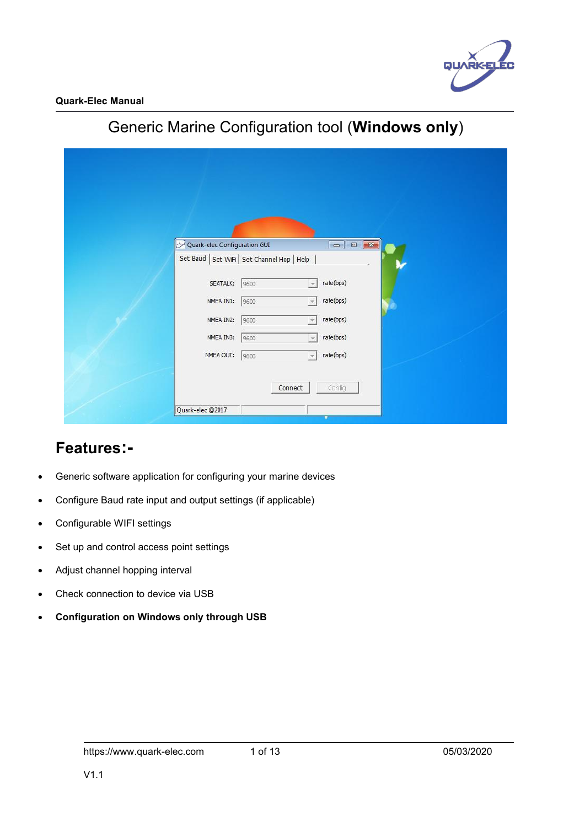

| Quark-elec Configuration GUI                 |  |
|----------------------------------------------|--|
| Set Baud   Set WiFi   Set Channel Hop   Help |  |
| rate(bps)<br>SEATALK:<br>9600                |  |
| rate(bps)<br>NMEA IN1:<br>9600               |  |
| rate(bps)<br>NMEA IN2:<br>9600               |  |
| NMEA IN3:<br>rate(bps)<br>9600               |  |
| NMEA OUT:<br>rate(bps)<br>9600               |  |
|                                              |  |
| Connect<br>Config                            |  |
| Quark-elec @2017                             |  |

# Generic Marine Configuration tool (**Windows only**)

## **Features:-**

- Generic software application for configuring your marine devices
- Configure Baud rate input and output settings (if applicable)
- Configurable WIFI settings
- Set up and control access point settings
- Adjust channel hopping interval
- Check connection to device via USB
- **Configuration on Windows only through USB**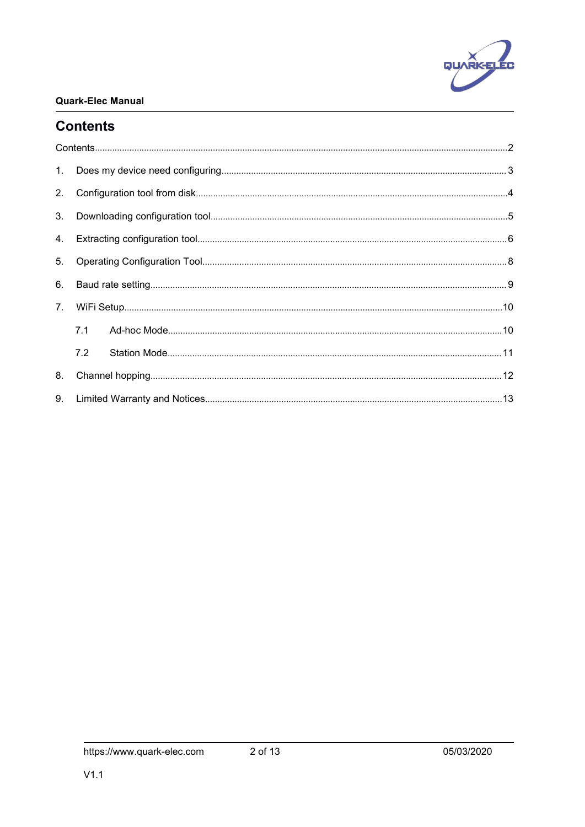

### <span id="page-1-0"></span>**Contents**

| 1.             |     |  |
|----------------|-----|--|
| 2.             |     |  |
| 3.             |     |  |
| 4.             |     |  |
| 5.             |     |  |
| 6.             |     |  |
| 7 <sub>1</sub> |     |  |
|                | 7.1 |  |
|                | 7.2 |  |
| 8.             |     |  |
| 9.             |     |  |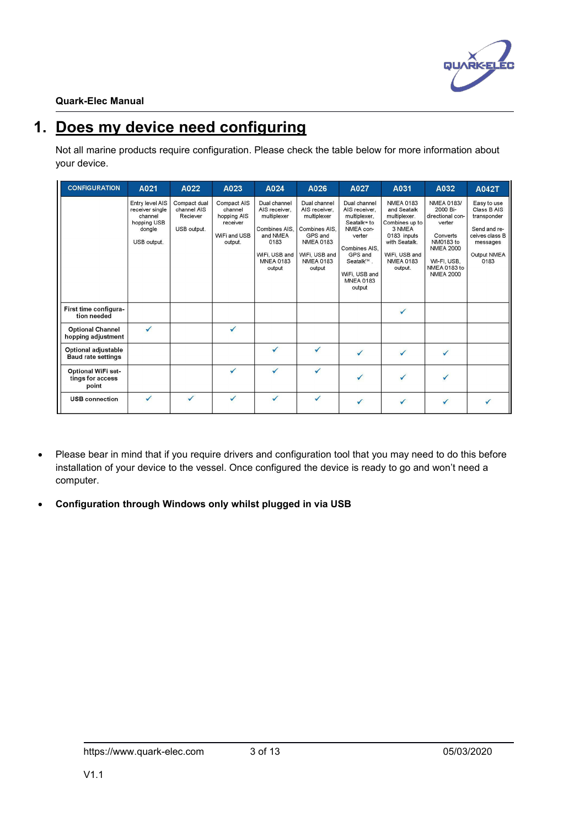

# <span id="page-2-0"></span>**1. Does my device need configuring**

Not all marine products require configuration. Please check the table below for more information about your device.

| <b>CONFIGURATION</b>                             | A021                                                                                  | A022                                                   | A023                                                                         | A024                                                                                                                             | A026                                                                                                                                        | A027                                                                                                                                                                                    | A031                                                                                                                                                        | A032                                                                                                                                                        | <b>A042T</b>                                                                                                   |
|--------------------------------------------------|---------------------------------------------------------------------------------------|--------------------------------------------------------|------------------------------------------------------------------------------|----------------------------------------------------------------------------------------------------------------------------------|---------------------------------------------------------------------------------------------------------------------------------------------|-----------------------------------------------------------------------------------------------------------------------------------------------------------------------------------------|-------------------------------------------------------------------------------------------------------------------------------------------------------------|-------------------------------------------------------------------------------------------------------------------------------------------------------------|----------------------------------------------------------------------------------------------------------------|
|                                                  | Entry level AIS<br>receiver single<br>channel<br>hopping USB<br>dongle<br>USB output. | Compact dual<br>channel AIS<br>Reciever<br>USB output. | Compact AIS<br>channel<br>hopping AIS<br>receiver<br>WiFi and USB<br>output. | Dual channel<br>AIS receiver.<br>multiplexer<br>Combines AIS.<br>and NMEA<br>0183<br>WiFi, USB and<br><b>MNEA 0183</b><br>output | Dual channel<br>AIS receiver.<br>multiplexer<br>Combines AIS.<br>GPS and<br><b>NMEA 0183</b><br>WiFi, USB and<br><b>NMEA 0183</b><br>output | Dual channel<br>AIS receiver,<br>multiplexer.<br>Seatalk <sup>™</sup> to<br>NMEA con-<br>verter<br>Combines AIS,<br>GPS and<br>Seatalk™.<br>WiFi. USB and<br><b>MNEA 0183</b><br>output | <b>NMEA 0183</b><br>and Seatalk<br>multiplexer.<br>Combines up to<br>3 NMEA<br>0183 inputs<br>with Seatalk.<br>WiFi, USB and<br><b>NMEA 0183</b><br>output. | <b>NMEA 0183/</b><br>2000 Bi-<br>directional con-<br>verter<br>Converts<br>NM0183 to<br><b>NMEA 2000</b><br>WI-FI, USB.<br>NMEA 0183 to<br><b>NMEA 2000</b> | Easy to use<br>Class B AIS<br>transponder<br>Send and re-<br>ceives class B<br>messages<br>Output NMEA<br>0183 |
| First time configura-<br>tion needed             |                                                                                       |                                                        |                                                                              |                                                                                                                                  |                                                                                                                                             |                                                                                                                                                                                         | $\checkmark$                                                                                                                                                |                                                                                                                                                             |                                                                                                                |
| <b>Optional Channel</b><br>hopping adjustment    | $\checkmark$                                                                          |                                                        | $\checkmark$                                                                 |                                                                                                                                  |                                                                                                                                             |                                                                                                                                                                                         |                                                                                                                                                             |                                                                                                                                                             |                                                                                                                |
| Optional adjustable<br><b>Baud rate settings</b> |                                                                                       |                                                        |                                                                              | $\checkmark$                                                                                                                     | $\checkmark$                                                                                                                                |                                                                                                                                                                                         |                                                                                                                                                             | $\checkmark$                                                                                                                                                |                                                                                                                |
| Optional WiFi set-<br>tings for access<br>point  |                                                                                       |                                                        | $\checkmark$                                                                 |                                                                                                                                  |                                                                                                                                             |                                                                                                                                                                                         |                                                                                                                                                             |                                                                                                                                                             |                                                                                                                |
| <b>USB</b> connection                            | $\checkmark$                                                                          |                                                        | ✓                                                                            | $\checkmark$                                                                                                                     | $\checkmark$                                                                                                                                |                                                                                                                                                                                         |                                                                                                                                                             |                                                                                                                                                             |                                                                                                                |

- Please bear in mind that if you require drivers and configuration tool that you may need to do this before installation of your device to the vessel. Once configured the device is ready to go and won't need a computer.
- **Configuration through Windows only whilst plugged in via USB**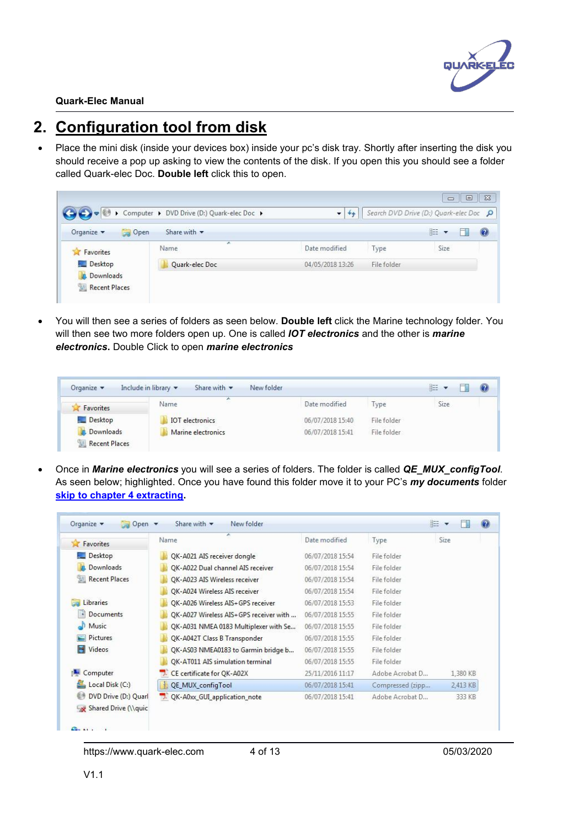

# <span id="page-3-0"></span>**2. Configuration tool from disk**

Place the mini disk (inside your devices box) inside your pc's disk tray. Shortly after inserting the disk you should receive a pop up asking to view the contents of the disk. If you open this you should see a folder called Quark-elec Doc. **Double left** click this to open.

|                             | Computer > DVD Drive (D:) Quark-elec Doc > | ÷                |             | $\Box$<br>$\equiv$<br>Search DVD Drive (D:) Quark-elec Doc Q | $\Sigma$          |
|-----------------------------|--------------------------------------------|------------------|-------------|--------------------------------------------------------------|-------------------|
| Organize v<br>Open          | Share with $\blacktriangledown$            |                  |             | 脏                                                            | $\left( 2\right)$ |
| Favorites<br>z              | ×<br>Name                                  | Date modified    | Type        | Size                                                         |                   |
| Desktop<br><b>Downloads</b> | Quark-elec Doc                             | 04/05/2018 13:26 | File folder |                                                              |                   |
| Recent Places               |                                            |                  |             |                                                              |                   |

 You will then see a series of folders as seen below. **Double left** click the Marine technology folder. You will then see two more folders open up. One is called *IOT electronics* and the otheris *marine electronics***.** Double Click to open *marine electronics*

| Favorites | Name                   | Date modified    | Type        | Size |  |
|-----------|------------------------|------------------|-------------|------|--|
| Desktop   | <b>IOT</b> electronics | 06/07/2018 15:40 | File folder |      |  |
| Downloads | Marine electronics     | 06/07/2018 15:41 | File folder |      |  |

 Once in *Marine electronics* you will see a series of folders. The folder is called *QE\_MUX\_configTool*. As seen below; highlighted. Once you have found this folder move it to your PC's *my documents* folder **skip to chapter 4 [extracting.](#page-5-0)**

| Favorites                                    | ×<br>Name                              | Date modified    | Type             | Size     |
|----------------------------------------------|----------------------------------------|------------------|------------------|----------|
| Desktop                                      | QK-A021 AIS receiver dongle            | 06/07/2018 15:54 | File folder      |          |
| Downloads                                    | OK-A022 Dual channel AIS receiver      | 06/07/2018 15:54 | File folder      |          |
| <b>Recent Places</b><br>鹽                    | OK-A023 AIS Wireless receiver          | 06/07/2018 15:54 | File folder      |          |
|                                              | OK-A024 Wireless AIS receiver          | 06/07/2018 15:54 | File folder      |          |
| Libraries                                    | QK-A026 Wireless AIS+GPS receiver      | 06/07/2018 15:53 | File folder      |          |
| <b>Documents</b>                             | QK-A027 Wireless AIS+GPS receiver with | 06/07/2018 15:55 | File folder      |          |
| Music                                        | QK-A031 NMEA 0183 Multiplexer with Se  | 06/07/2018 15:55 | File folder      |          |
| Pictures                                     | QK-A042T Class B Transponder           | 06/07/2018 15:55 | File folder      |          |
| Videos                                       | QK-AS03 NMEA0183 to Garmin bridge b    | 06/07/2018 15:55 | File folder      |          |
|                                              | OK-AT011 AIS simulation terminal       | 06/07/2018 15:55 | File folder      |          |
| Computer                                     | CE certificate for QK-A02X<br>ъ.       | 25/11/2016 11:17 | Adobe Acrobat D  | 1,380 KB |
| Local Disk (C:)                              | QE MUX configTool                      | 06/07/2018 15:41 | Compressed (zipp | 2,413 KB |
| DVD Drive (D:) Quarl<br>Shared Drive (\\quic | QK-A0xx_GUI_application_note           | 06/07/2018 15:41 | Adobe Acrobat D  | 333 KB   |

https://www.quark-elec.com 4 of 13 05/03/2020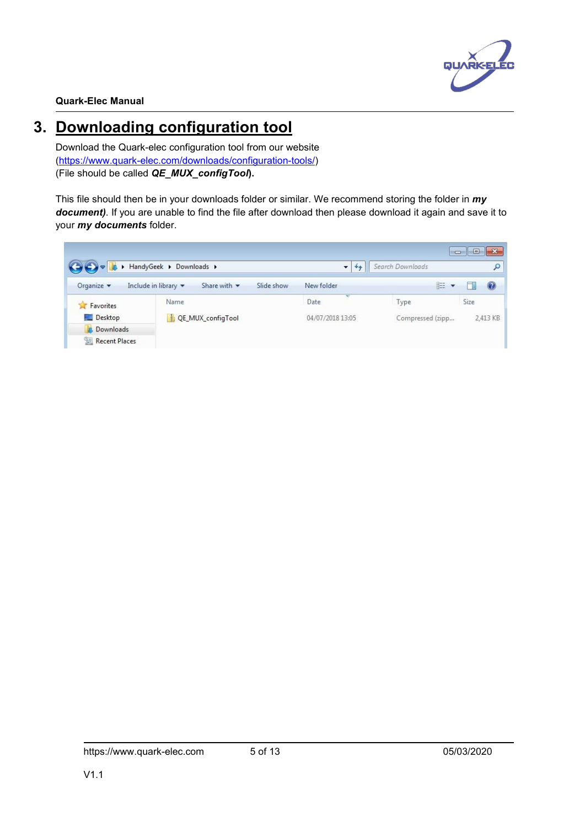

# <span id="page-4-0"></span>**3. Downloading configuration tool**

Download the Quark-elec configuration tool from our website ([https://www.quark-elec.com/downloads/configuration-tools/\)](https://www.quark-elec.com/downloads/configuration-tools/) (File should be called *QE\_MUX\_configTool***).**

This file should then be in your downloads folder or similar. We recommend storing the folder in *my document)*. If you are unable to find the file after download then please download it again and save it to your *my documents* folder.

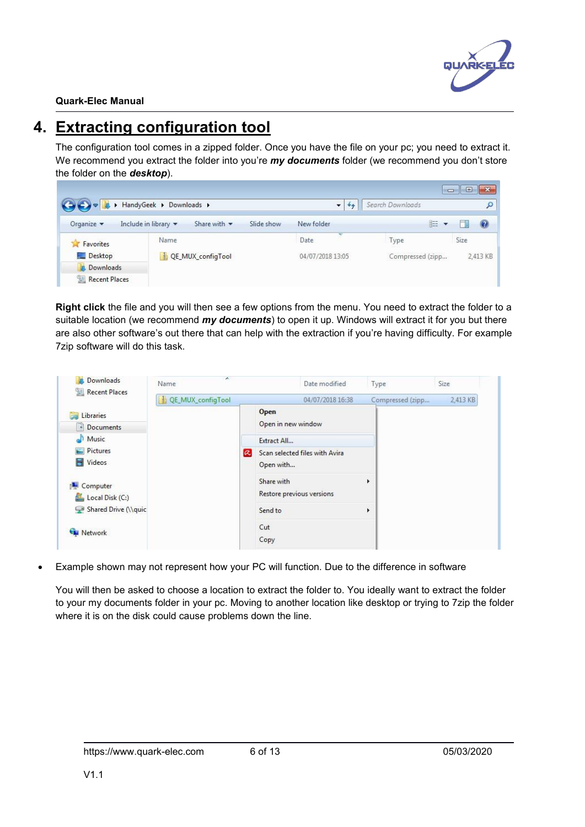

# <span id="page-5-0"></span>**4. Extracting configuration tool**

The configuration tool comes in a zipped folder. Once you have the file on your pc; you need to extract it. We recommend you extract the folder into you're *my documents* folder (we recommend you don't store the folder on the *desktop*).

|                               | <b>Downloads</b> F HandyGeek F Downloads |                                 |            |                  | $\overline{\phantom{a}}$ | Search Downloads | $\Box$ le x |                |
|-------------------------------|------------------------------------------|---------------------------------|------------|------------------|--------------------------|------------------|-------------|----------------|
| Organize $\blacktriangledown$ | Include in library $\blacktriangledown$  | Share with $\blacktriangledown$ | Slide show | New folder       |                          | 睚                |             | $\circledcirc$ |
| Favorites<br>Y.               | Name                                     |                                 |            | Date             |                          | Type             | Size        |                |
| Desktop                       |                                          | QE_MUX_configTool               |            | 04/07/2018 13:05 |                          | Compressed (zipp |             | 2,413 KB       |
| Downloads                     |                                          |                                 |            |                  |                          |                  |             |                |
| Recent Places                 |                                          |                                 |            |                  |                          |                  |             |                |

**Right click** the file and you will then see a few options from the menu. You need to extract the folder to a suitable location (we recommend *my documents*) to open it up. Windows will extract it for you but there are also other software's out there that can help with the extraction if you're having difficulty. For example 7zip software will do this task.

| Downloads<br>Recent Places | ×.<br>Name        |            | Date modified                  |   | Type             | Size     |
|----------------------------|-------------------|------------|--------------------------------|---|------------------|----------|
|                            | OE MUX_configTool |            | 04/07/2018 16:38               |   | Compressed (zipp | 2,413 KB |
| Libraries                  |                   |            | Open                           |   |                  |          |
| Documents                  |                   |            | Open in new window             |   |                  |          |
| Music                      |                   |            | Extract All                    |   |                  |          |
| Pictures                   |                   | $ \alpha $ | Scan selected files with Avira |   |                  |          |
| H<br>Videos                |                   |            | Open with                      |   |                  |          |
| Computer                   |                   |            | Share with                     | r |                  |          |
| Local Disk (C:)            |                   |            | Restore previous versions      |   |                  |          |
| Shared Drive (\\quic       |                   |            | Send to                        | k |                  |          |
| <b>Network</b>             |                   |            | Cut                            |   |                  |          |
|                            |                   |            | Copy                           |   |                  |          |

Example shown may not represent how your PC will function. Due to the difference in software

You will then be asked to choose a location to extract the folder to. You ideally want to extract the folder to your my documents folder in your pc. Moving to another location like desktop or trying to 7zip the folder where it is on the disk could cause problems down the line.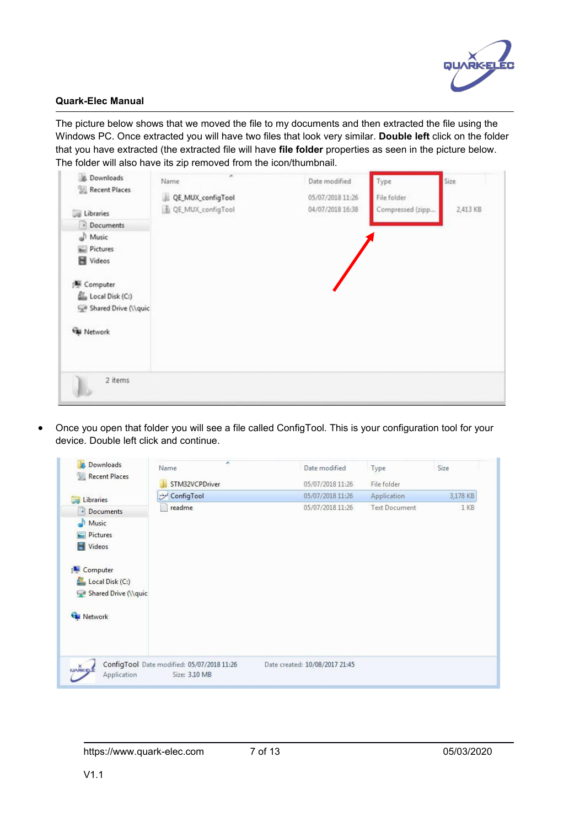

The picture below shows that we moved the file to my documents and then extracted the file using the Windows PC. Once extracted you will have two files that look very similar. **Double left** click on the folder that you have extracted (the extracted file will have **file folder** properties as seen in the picture below. The folder will also have its zip removed from the icon/thumbnail.

| ü.<br>Downloads<br>Recent Places | ×<br>Name         | Date modified    | Type             | Size     |
|----------------------------------|-------------------|------------------|------------------|----------|
|                                  | QE_MUX_configTool | 05/07/2018 11:26 | File folder      |          |
| Libraries                        | QE_MUX_configTool | 04/07/2018 16:38 | Compressed (zipp | 2,413 KB |
| - Documents                      |                   |                  |                  |          |
| Music                            |                   |                  |                  |          |
| Pictures                         |                   |                  |                  |          |
| Videos                           |                   |                  |                  |          |
| Computer                         |                   |                  |                  |          |
| Local Disk (C:)                  |                   |                  |                  |          |
| Shared Drive (\\quic             |                   |                  |                  |          |
| <b>EN</b> Network                |                   |                  |                  |          |
|                                  |                   |                  |                  |          |
| 2 items<br>II.                   |                   |                  |                  |          |

 Once you open that folder you will see a file called ConfigTool. This is your configuration tool for your device. Double left click and continue.

| Downloads<br>ы<br><b>Recent Places</b><br>盟                                                                               | r.<br>Name<br>STM32VCPDriver                                | Date modified<br>05/07/2018 11:26 | Type<br>File folder  | Size     |
|---------------------------------------------------------------------------------------------------------------------------|-------------------------------------------------------------|-----------------------------------|----------------------|----------|
| Libraries                                                                                                                 | ConfigTool                                                  | 05/07/2018 11:26                  | Application          | 3,178 KB |
| 閏<br>Documents<br>Music<br>Pictures<br>Videos<br>н<br>Computer<br>壁<br>Local Disk (C:)<br>Shared Drive (\\quic<br>Network | readme<br>E                                                 | 05/07/2018 11:26                  | <b>Text Document</b> | 1 KB     |
| <b>ILIVROCEL</b><br>Application                                                                                           | ConfigTool Date modified: 05/07/2018 11:26<br>Size: 3.10 MB | Date created: 10/08/2017 21:45    |                      |          |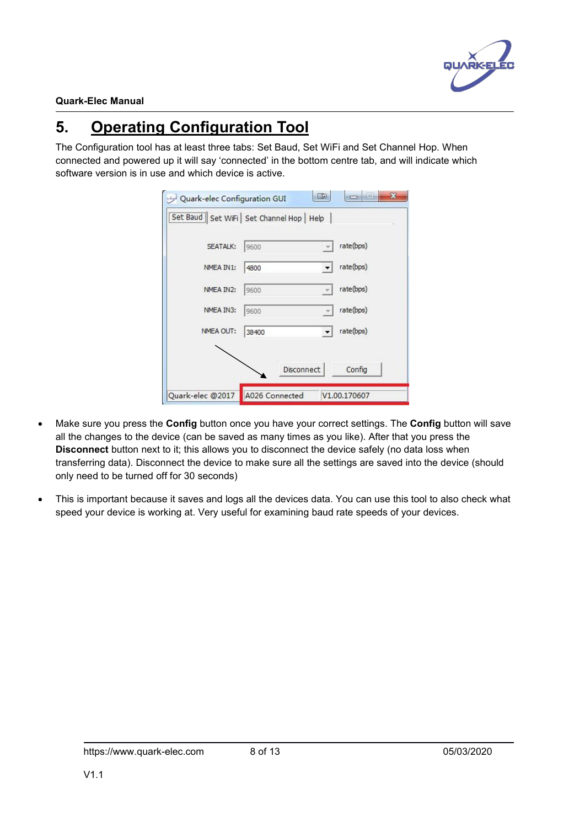

# <span id="page-7-0"></span>**5. Operating Configuration Tool**

The Configuration tool has at least three tabs: Set Baud, Set WiFi and Set Channel Hop. When connected and powered up it will say 'connected'in the bottom centre tab, and will indicate which software version is in use and which device is active.

|                  | [Set Baud   Set WiFi   Set Channel Hop   Help |            |              |
|------------------|-----------------------------------------------|------------|--------------|
| SEATALK:         | 9600                                          |            | rate(bps)    |
| NMEA IN1:        | 4800                                          |            | rate(bps)    |
| NMEA IN2:        | 9600                                          |            | rate(bps)    |
| NMEA IN3:        | 9600                                          |            | rate(bps)    |
| NMEA OUT:        | 38400                                         |            | rate(bps)    |
|                  |                                               |            |              |
|                  |                                               | Disconnect | Config       |
| Quark-elec @2017 | A026 Connected                                |            | V1.00.170607 |

- Make sure you press the **Config** button once you have your correct settings. The **Config** button will save all the changes to the device (can be saved as many times as you like). After that you press the **Disconnect** button next to it; this allows you to disconnect the device safely (no data loss when transferring data). Disconnect the device to make sure all the settings are saved into the device (should only need to be turned off for 30 seconds)
- This is important because it saves and logs all the devices data. You can use this tool to also check what speed your device is working at. Very useful for examining baud rate speeds of your devices.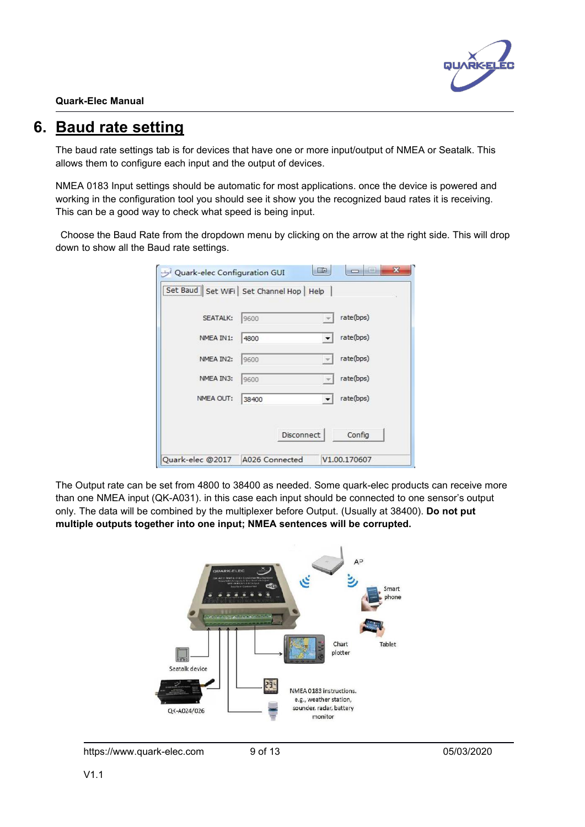

## <span id="page-8-0"></span>**6. Baud rate setting**

The baud rate settings tab is for devices that have one or more input/output of NMEA or Seatalk. This allows them to configure each input and the output of devices.

NMEA 0183 Input settings should be automatic for most applications. once the device is powered and working in the configuration tool you should see it show you the recognized baud rates it is receiving. This can be a good way to check what speed is being input.

Choose the Baud Rate from the dropdown menu by clicking on the arrow at the right side. This will drop down to show all the Baud rate settings.

| [Set Baud   Set WiFi   Set Channel Hop   Help |                   |              |              |
|-----------------------------------------------|-------------------|--------------|--------------|
| SEATALK:                                      | 9600              |              | rate(bps)    |
| NMEA IN1:                                     | 4800              |              | rate(bps)    |
| NMEA IN2:                                     | 9600              | m.           | rate(bps)    |
| NMEA IN3:                                     | 9600              | w.           | rate(bps)    |
| NMEA OUT:                                     | 38400             | $\mathbf{v}$ | rate(bps)    |
|                                               | <b>Disconnect</b> |              | Config       |
| Quark-elec @2017                              | A026 Connected    |              | V1.00.170607 |

The Output rate can be set from 4800 to 38400 as needed. Some quark-elec products can receive more than one NMEA input (QK-A031). in this case each input should be connected to one sensor's output only. The data will be combined by the multiplexer before Output. (Usually at 38400). **Do not put multiple outputs together into one input; NMEA sentences will be corrupted.**



https://www.quark-elec.com 9 of 13 05/03/2020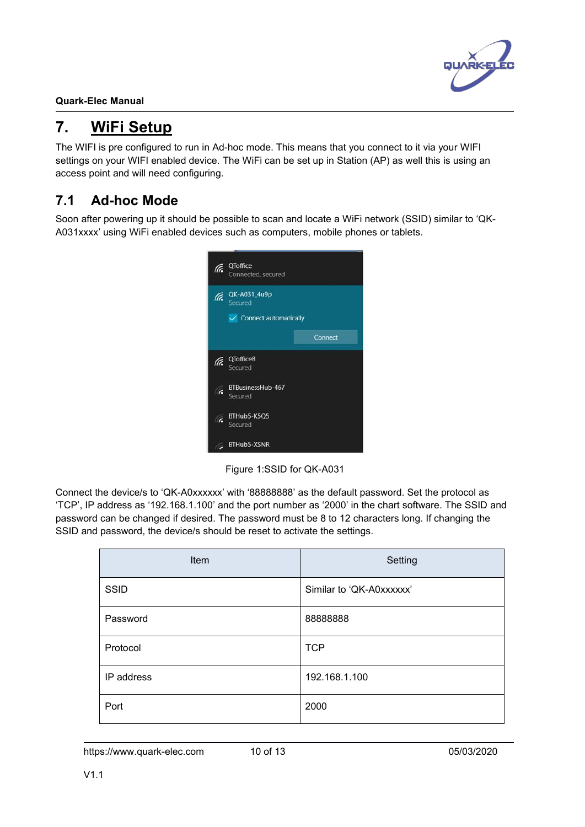

## <span id="page-9-0"></span>**7. WiFi Setup**

The WIFI is pre configured to run in Ad-hoc mode. This means that you connect to it via your WIFI settings on your WIFI enabled device. The WiFi can be set up in Station (AP) as well this is using an access point and will need configuring.

## <span id="page-9-1"></span>**7.1 Ad-hoc Mode**

Soon after powering up it should be possible to scan and locate a WiFi network (SSID) similar to 'QK- A031xxxx' using WiFi enabled devices such as computers, mobile phones or tablets.



Figure 1:SSID for QK-A031

Connect the device/s to 'QK-A0xxxxx' with '88888888' as the default password. Set the protocol as 'TCP', IP address as '192.168.1.100' and the port number as '2000' in the chart software. The SSID and password can be changed if desired. The password must be 8 to 12 characters long. If changing the SSID and password, the device/s should be reset to activate the settings.

| Item        | Setting                  |
|-------------|--------------------------|
| <b>SSID</b> | Similar to 'QK-A0xxxxxx' |
| Password    | 8888888                  |
| Protocol    | <b>TCP</b>               |
| IP address  | 192.168.1.100            |
| Port        | 2000                     |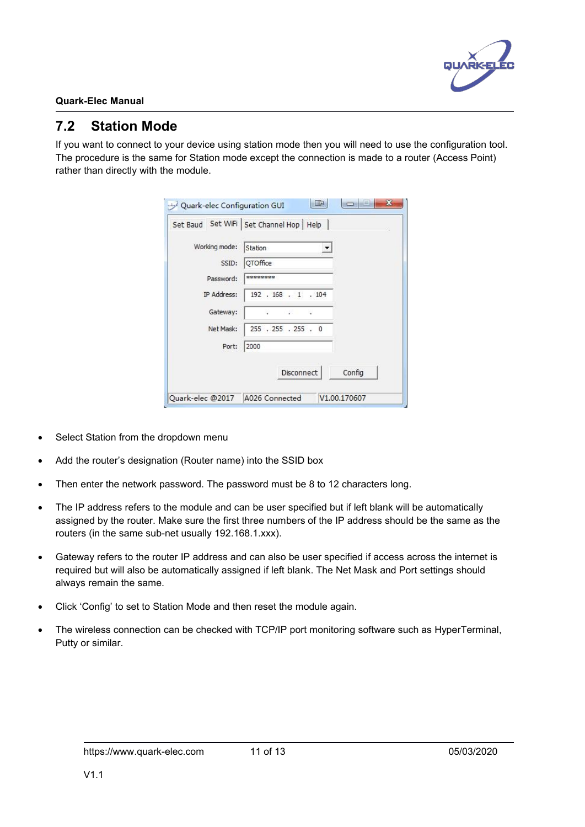

### <span id="page-10-0"></span>**7.2 Station Mode**

If you want to connect to your device using station mode then you will need to use the configuration tool. The procedure is the same for Station mode except the connection is made to a router (Access Point) rather than directly with the module.

| Station<br>OTOffice<br>********<br>192 . 168 . 1 . 104 |                |                                                   |
|--------------------------------------------------------|----------------|---------------------------------------------------|
|                                                        |                |                                                   |
|                                                        |                |                                                   |
|                                                        |                |                                                   |
|                                                        |                |                                                   |
|                                                        |                |                                                   |
|                                                        |                |                                                   |
| 2000                                                   |                |                                                   |
|                                                        |                | Config                                            |
|                                                        | A026 Connected | 255 . 255 . 255 . 0<br>Disconnect<br>V1.00.170607 |

- Select Station from the dropdown menu
- Add the router's designation (Router name) into the SSID box
- Then enter the network password. The password must be 8 to 12 characters long.
- The IP address refers to the module and can be user specified but if left blank will be automatically assigned by the router. Make sure the first three numbers of the IP address should be the same as the routers (in the same sub-net usually 192.168.1.xxx).
- Gateway refers to the router IP address and can also be user specified if access across the internet is required but will also be automatically assigned if left blank.The Net Mask and Port settings should always remain the same.
- Click 'Config' to set to Station Mode and then reset the module again.
- The wireless connection can be checked with TCP/IP port monitoring software such as HyperTerminal, Putty or similar.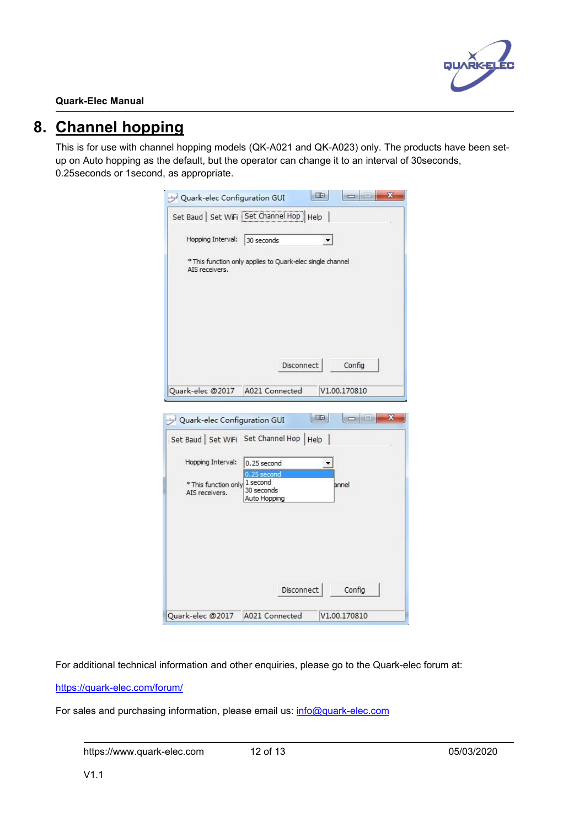

## <span id="page-11-0"></span>**8. Channel hopping**

This is for use with channel hopping models (QK-A021 and QK-A023) only. The products have been set up on Auto hopping as the default, but the operator can change it to an interval of 30seconds, 0.25seconds or 1second, as appropriate.

|                                        | Quark-elec Configuration GUI                                              |
|----------------------------------------|---------------------------------------------------------------------------|
|                                        | Set Baud   Set WiFi   Set Channel Hop   Help                              |
| Hopping Interval:                      | 30 seconds                                                                |
| AIS receivers.                         | * This function only applies to Quark-elec single channel                 |
|                                        |                                                                           |
|                                        | Disconnect<br>Config                                                      |
| Quark-elec @2017 A021 Connected        | V1.00.170810                                                              |
| Quark-elec Configuration GUI           | ■田島<br><b>CONSIDER</b><br>х<br>Set Baud   Set WiFi Set Channel Hop   Help |
| Hopping Interval:                      | 0.25 second<br>0.25 second                                                |
| * This function only<br>AIS receivers. | 1 second<br>annel<br>30 seconds<br>Auto Hopping                           |
|                                        |                                                                           |
|                                        |                                                                           |
|                                        | Disconnect<br>Config                                                      |

For additional technical information and other enquiries, please go to the Quark-elec forum at:

<https://quark-elec.com/forum/>

For sales and purchasing information, please email us: [info@quark-elec.com](mailto:info@quark-elec.com)